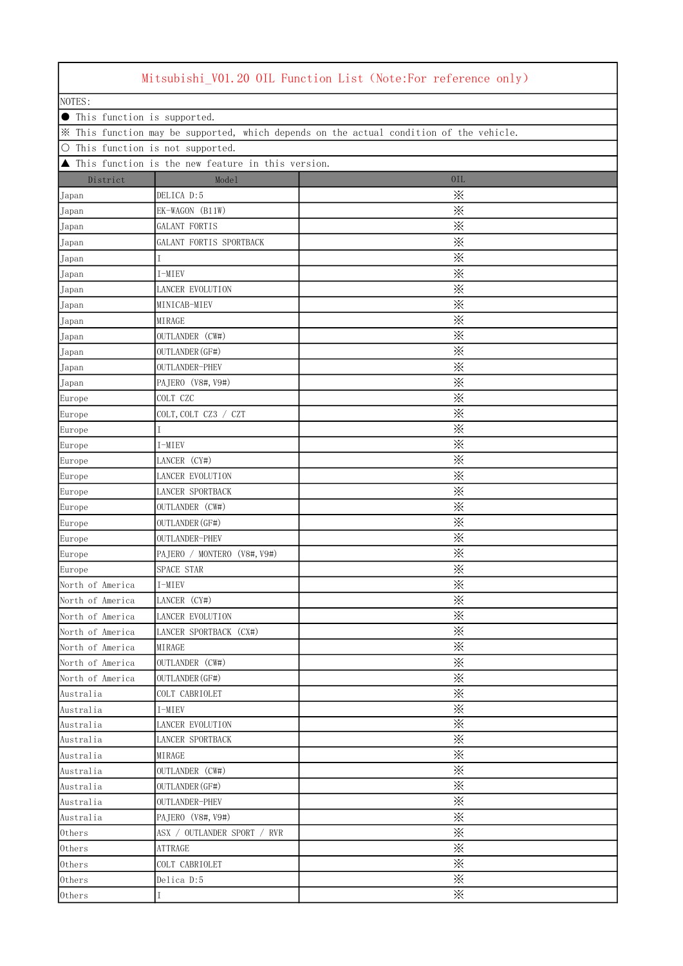| Mitsubishi_V01.20 OIL Function List (Note:For reference only)                           |                             |                         |  |  |
|-----------------------------------------------------------------------------------------|-----------------------------|-------------------------|--|--|
| NOTES:                                                                                  |                             |                         |  |  |
| <b>•</b> This function is supported.                                                    |                             |                         |  |  |
| * This function may be supported, which depends on the actual condition of the vehicle. |                             |                         |  |  |
| O This function is not supported.                                                       |                             |                         |  |  |
| ▲ This function is the new feature in this version.                                     |                             |                         |  |  |
| District                                                                                | Mode1                       | 0IL                     |  |  |
| Japan                                                                                   | DELICA D:5                  | ፠                       |  |  |
| Japan                                                                                   | EK-WAGON (B11W)             | ፠                       |  |  |
| Japan                                                                                   | GALANT FORTIS               | ፠                       |  |  |
| Japan                                                                                   | GALANT FORTIS SPORTBACK     | $\ddot{\times}$         |  |  |
| Japan                                                                                   |                             | ⋇                       |  |  |
| Japan                                                                                   | I-MIEV                      | ⋇                       |  |  |
| Japan                                                                                   | <b>LANCER EVOLUTION</b>     | ⋇                       |  |  |
| Japan                                                                                   | MINICAB-MIEV                | $\ddot{\times}$         |  |  |
| Japan                                                                                   | MIRAGE                      | ⋇                       |  |  |
|                                                                                         | OUTLANDER (CW#)             | ※                       |  |  |
| Japan                                                                                   |                             | $\ddot{\times}$         |  |  |
| Japan                                                                                   | OUTLANDER (GF#)             | $\ddot{\times}$         |  |  |
| Japan                                                                                   | OUTLANDER-PHEV              | $\ddot{\times}$         |  |  |
| Japan                                                                                   | PAJERO (V8#, V9#)           | ⋇                       |  |  |
| Europe                                                                                  | COLT CZC                    |                         |  |  |
| Europe                                                                                  | COLT, COLT CZ3 / CZT        | ፠                       |  |  |
| Europe                                                                                  |                             | ፠                       |  |  |
| Europe                                                                                  | I-MIEV                      | ፠                       |  |  |
| Europe                                                                                  | LANCER (CY#)                | ፠                       |  |  |
| Europe                                                                                  | LANCER EVOLUTION            | $\ddot{\times}$         |  |  |
| Europe                                                                                  | LANCER SPORTBACK            | ፠                       |  |  |
| Europe                                                                                  | OUTLANDER (CW#)             | ⋇                       |  |  |
| Europe                                                                                  | OUTLANDER (GF#)             | $\times$                |  |  |
| Europe                                                                                  | OUTLANDER-PHEV              | $\ddot{\times}$         |  |  |
| Europe                                                                                  | PAJERO / MONTERO (V8#, V9#) | ※                       |  |  |
| Europe                                                                                  | SPACE STAR                  | $\times$                |  |  |
| North of America                                                                        | I-MIEV                      | ፠                       |  |  |
| North of America                                                                        | LANCER (CY#)                | ፠                       |  |  |
| North of America                                                                        | LANCER EVOLUTION            | ⋇                       |  |  |
| North of America                                                                        | LANCER SPORTBACK (CX#)      | $\times$                |  |  |
| North of America                                                                        | MIRAGE                      | ⋇                       |  |  |
| North of America                                                                        | OUTLANDER (CW#)             | $\ddot{\times}$         |  |  |
| North of America                                                                        | OUTLANDER (GF#)             | $\ddot{\times}$         |  |  |
| Australia                                                                               | COLT CABRIOLET              | $\times$                |  |  |
| Australia                                                                               | I-MIEV                      | ፠                       |  |  |
| Australia                                                                               | LANCER EVOLUTION            | ⋇                       |  |  |
| Australia                                                                               | LANCER SPORTBACK            | $\times$                |  |  |
| Australia                                                                               | MIRAGE                      | ⋇                       |  |  |
| Australia                                                                               | OUTLANDER (CW#)             | ፠                       |  |  |
| Australia                                                                               | OUTLANDER (GF#)             | $\overline{\mathbb{X}}$ |  |  |
| Australia                                                                               | OUTLANDER-PHEV              | ⋇                       |  |  |
| Australia                                                                               | PAJERO (V8#, V9#)           | ⋇                       |  |  |
| Others                                                                                  | ASX / OUTLANDER SPORT / RVR | ⋇                       |  |  |
| Others                                                                                  | ATTRAGE                     | ⋇                       |  |  |
| Others                                                                                  | COLT CABRIOLET              | $\times$                |  |  |
| Others                                                                                  | Delica D:5                  | ፠                       |  |  |
| Others                                                                                  | Τ                           | $\times$                |  |  |